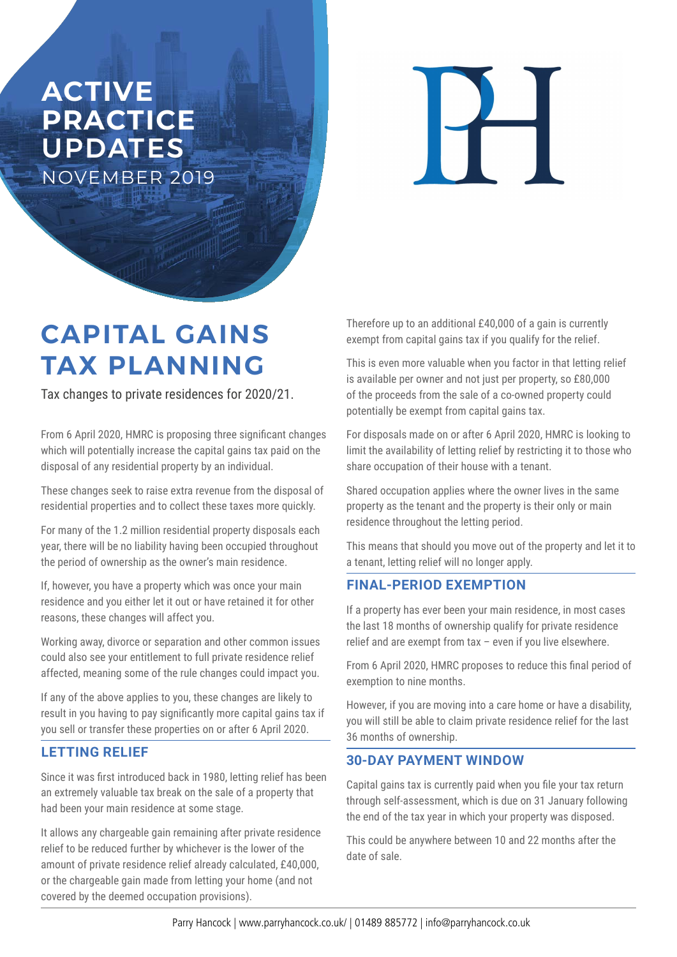## **ACTIVE PRACTICE**  UPDATES NOVEMBER 2019

 $\overline{\mathbf{1}}$ 

# **CAPITAL GAINS TAX PLANNING**

Tax changes to private residences for 2020/21.

From 6 April 2020, HMRC is proposing three significant changes which will potentially increase the capital gains tax paid on the disposal of any residential property by an individual.

These changes seek to raise extra revenue from the disposal of residential properties and to collect these taxes more quickly.

For many of the 1.2 million residential property disposals each year, there will be no liability having been occupied throughout the period of ownership as the owner's main residence.

If, however, you have a property which was once your main residence and you either let it out or have retained it for other reasons, these changes will affect you.

Working away, divorce or separation and other common issues could also see your entitlement to full private residence relief affected, meaning some of the rule changes could impact you.

If any of the above applies to you, these changes are likely to result in you having to pay significantly more capital gains tax if you sell or transfer these properties on or after 6 April 2020.

#### **LETTING RELIEF**

Since it was first introduced back in 1980, letting relief has been an extremely valuable tax break on the sale of a property that had been your main residence at some stage.

It allows any chargeable gain remaining after private residence relief to be reduced further by whichever is the lower of the amount of private residence relief already calculated, £40,000, or the chargeable gain made from letting your home (and not covered by the deemed occupation provisions).

Therefore up to an additional £40,000 of a gain is currently exempt from capital gains tax if you qualify for the relief.

This is even more valuable when you factor in that letting relief is available per owner and not just per property, so £80,000 of the proceeds from the sale of a co-owned property could potentially be exempt from capital gains tax.

For disposals made on or after 6 April 2020, HMRC is looking to limit the availability of letting relief by restricting it to those who share occupation of their house with a tenant.

Shared occupation applies where the owner lives in the same property as the tenant and the property is their only or main residence throughout the letting period.

This means that should you move out of the property and let it to a tenant, letting relief will no longer apply.

#### **FINAL-PERIOD EXEMPTION**

If a property has ever been your main residence, in most cases the last 18 months of ownership qualify for private residence relief and are exempt from tax – even if you live elsewhere.

From 6 April 2020, HMRC proposes to reduce this final period of exemption to nine months.

However, if you are moving into a care home or have a disability, you will still be able to claim private residence relief for the last 36 months of ownership.

#### **30-DAY PAYMENT WINDOW**

Capital gains tax is currently paid when you file your tax return through self-assessment, which is due on 31 January following the end of the tax year in which your property was disposed.

This could be anywhere between 10 and 22 months after the date of sale.